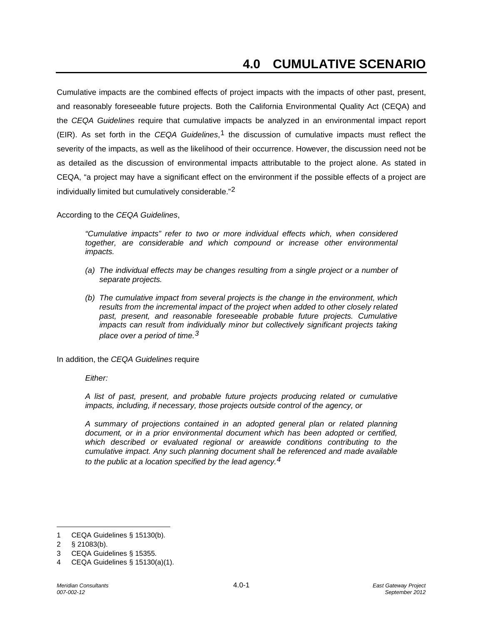Cumulative impacts are the combined effects of project impacts with the impacts of other past, present, and reasonably foreseeable future projects. Both the California Environmental Quality Act (CEQA) and the *CEQA Guidelines* require that cumulative impacts be analyzed in an environmental impact report (EIR). As set forth in the *CEQA Guidelines*,[1](#page-0-0) the discussion of cumulative impacts must reflect the severity of the impacts, as well as the likelihood of their occurrence. However, the discussion need not be as detailed as the discussion of environmental impacts attributable to the project alone. As stated in CEQA, "a project may have a significant effect on the environment if the possible effects of a project are individually limited but cumulatively considerable."[2](#page-0-1)

According to the *CEQA Guidelines*,

*"Cumulative impacts" refer to two or more individual effects which, when considered together, are considerable and which compound or increase other environmental impacts.*

- *(a) The individual effects may be changes resulting from a single project or a number of separate projects.*
- *(b) The cumulative impact from several projects is the change in the environment, which results from the incremental impact of the project when added to other closely related*  past, present, and reasonable foreseeable probable future projects. Cumulative *impacts can result from individually minor but collectively significant projects taking place over a period of time.[3](#page-0-2)*

In addition, the *CEQA Guidelines* require

*Either:*

*A list of past, present, and probable future projects producing related or cumulative impacts, including, if necessary, those projects outside control of the agency, or*

*A summary of projections contained in an adopted general plan or related planning document, or in a prior environmental document which has been adopted or certified, which described or evaluated regional or areawide conditions contributing to the cumulative impact. Any such planning document shall be referenced and made available to the public at a location specified by the lead agency.[4](#page-0-3)*

 $\overline{a}$ 

<span id="page-0-0"></span><sup>1</sup> CEQA Guidelines § 15130(b).

<span id="page-0-1"></span><sup>2</sup> § 21083(b).

<span id="page-0-2"></span><sup>3</sup> CEQA Guidelines § 15355.

<span id="page-0-3"></span><sup>4</sup> CEQA Guidelines § 15130(a)(1).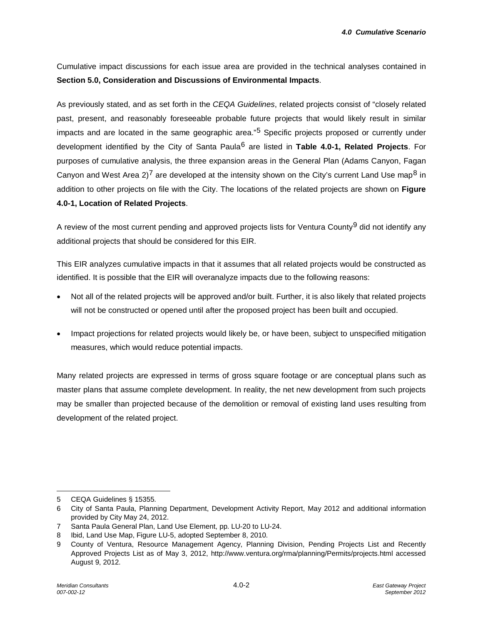Cumulative impact discussions for each issue area are provided in the technical analyses contained in **Section 5.0, Consideration and Discussions of Environmental Impacts**.

As previously stated, and as set forth in the *CEQA Guidelines*, related projects consist of "closely related past, present, and reasonably foreseeable probable future projects that would likely result in similar impacts and are located in the same geographic area."<sup>[5](#page-1-0)</sup> Specific projects proposed or currently under development identified by the City of Santa Paula[6](#page-1-1) are listed in **Table 4.0-1, Related Projects**. For purposes of cumulative analysis, the three expansion areas in the General Plan (Adams Canyon, Fagan Canyon and West Area 2)<sup>[7](#page-1-2)</sup> are developed at the intensity shown on the City's current Land Use map<sup>[8](#page-1-3)</sup> in addition to other projects on file with the City. The locations of the related projects are shown on **Figure 4.0-1, Location of Related Projects**.

A review of the most current pending and approved projects lists for Ventura County<sup>[9](#page-1-4)</sup> did not identify any additional projects that should be considered for this EIR.

This EIR analyzes cumulative impacts in that it assumes that all related projects would be constructed as identified. It is possible that the EIR will overanalyze impacts due to the following reasons:

- Not all of the related projects will be approved and/or built. Further, it is also likely that related projects will not be constructed or opened until after the proposed project has been built and occupied.
- Impact projections for related projects would likely be, or have been, subject to unspecified mitigation measures, which would reduce potential impacts.

Many related projects are expressed in terms of gross square footage or are conceptual plans such as master plans that assume complete development. In reality, the net new development from such projects may be smaller than projected because of the demolition or removal of existing land uses resulting from development of the related project.

 $\overline{a}$ 

<span id="page-1-0"></span><sup>5</sup> CEQA Guidelines § 15355.

<span id="page-1-1"></span><sup>6</sup> City of Santa Paula, Planning Department, Development Activity Report, May 2012 and additional information provided by City May 24, 2012.

<span id="page-1-2"></span><sup>7</sup> Santa Paula General Plan, Land Use Element, pp. LU-20 to LU-24.

<span id="page-1-3"></span><sup>8</sup> Ibid, Land Use Map, Figure LU-5, adopted September 8, 2010.

<span id="page-1-4"></span><sup>9</sup> County of Ventura, Resource Management Agency, Planning Division, Pending Projects List and Recently Approved Projects List as of May 3, 2012, [http://www.ventura.org/rma/planning/Permits/projects.html accessed](http://www.ventura.org/rma/planning/Permits/projects.html%20accessed%20August%209)  [August 9,](http://www.ventura.org/rma/planning/Permits/projects.html%20accessed%20August%209) 2012.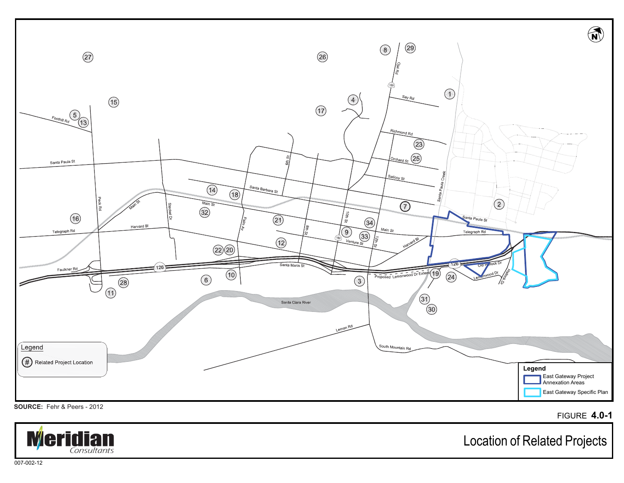

FIGURE **4.0-1**



Location of Related Projects

007-002-12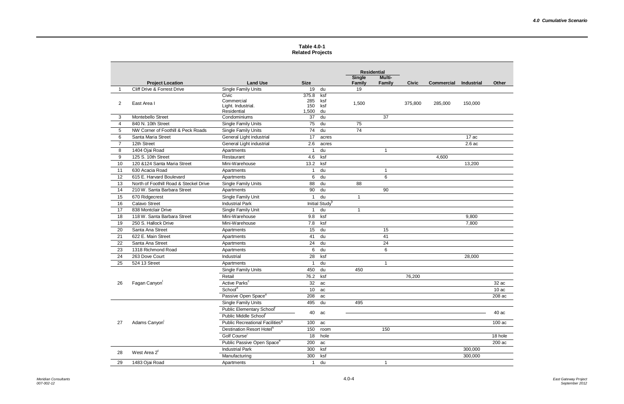## **Table 4.0-1 Related Projects**

|    |                                        |                                             |              |                            | <b>Residential</b><br><b>Single</b> | <b>Multi-</b>           |              |                   |                   |              |
|----|----------------------------------------|---------------------------------------------|--------------|----------------------------|-------------------------------------|-------------------------|--------------|-------------------|-------------------|--------------|
|    | <b>Project Location</b>                | <b>Land Use</b>                             | <b>Size</b>  |                            | <b>Family</b>                       | Family                  | <b>Civic</b> | <b>Commercial</b> | <b>Industrial</b> | <b>Other</b> |
| -1 | Cliff Drive & Forrest Drive            | Single Family Units                         | 19           | du                         | 19                                  |                         |              |                   |                   |              |
|    |                                        | Civic                                       | 375.8        | ksf                        |                                     |                         |              |                   |                   |              |
| 2  | East Area I                            | Commercial<br>Light. Industrial.            | 285<br>150   | ksf<br>ksf                 | 1,500                               |                         | 375,800      | 285,000           | 150,000           |              |
|    |                                        | Residential                                 | 1,500        | du                         |                                     |                         |              |                   |                   |              |
| 3  | Montebello Street                      | Condominiums                                | 37           | du                         |                                     | 37                      |              |                   |                   |              |
| 4  | 840 N. 10th Street                     | Single Family Units                         | 75           | du                         | 75                                  |                         |              |                   |                   |              |
| 5  | NW Corner of Foothill & Peck Roads     | Single Family Units                         | 74           | du                         | 74                                  |                         |              |                   |                   |              |
| 6  | Santa Maria Street                     | General Light industrial                    | 17           | acres                      |                                     |                         |              |                   | 17 ac             |              |
| 7  | 12th Street                            | General Light industrial                    | 2.6          | acres                      |                                     |                         |              |                   | 2.6ac             |              |
| 8  | 1404 Ojai Road                         | Apartments                                  | 1            | du                         |                                     | $\overline{1}$          |              |                   |                   |              |
| 9  | 125 S. 10th Street                     | Restaurant                                  | 4.6          | ksf                        |                                     |                         |              | 4,600             |                   |              |
| 10 | 120 & 124 Santa Maria Street           | Mini-Warehouse                              | 13.2         | ksf                        |                                     |                         |              |                   | 13,200            |              |
| 11 | 630 Acacia Road                        | Apartments                                  | 1            | du                         |                                     | $\overline{1}$          |              |                   |                   |              |
| 12 | 615 E. Harvard Boulevard               | Apartments                                  | 6            | du                         |                                     | 6                       |              |                   |                   |              |
| 13 | North of Foothill Road & Steckel Drive | Single Family Units                         | 88           | du                         | 88                                  |                         |              |                   |                   |              |
| 14 | 210 W. Santa Barbara Street            | Apartments                                  | 90           | du                         |                                     | 90                      |              |                   |                   |              |
| 15 | 670 Ridgecrest                         | Single Family Unit                          | $\mathbf{1}$ | du                         | $\mathbf{1}$                        |                         |              |                   |                   |              |
| 16 | <b>Calavo Street</b>                   | <b>Industrial Park</b>                      |              | Initial Study <sup>b</sup> |                                     |                         |              |                   |                   |              |
| 17 | 838 Montclair Drive                    | Single Family Unit                          | 1            | du                         | 1                                   |                         |              |                   |                   |              |
| 18 | 118 W. Santa Barbara Street            | Mini-Warehouse                              | 9.8          | ksf                        |                                     |                         |              |                   | 9,800             |              |
| 19 | 250 S. Hallock Drive                   | Mini-Warehouse                              | 7.8          | ksf                        |                                     |                         |              |                   | 7,800             |              |
| 20 | Santa Ana Street                       | Apartments                                  | 15           | du                         |                                     | 15                      |              |                   |                   |              |
| 21 | 622 E. Main Street                     | Apartments                                  | 41           | du                         |                                     | 41                      |              |                   |                   |              |
| 22 | Santa Ana Street                       | Apartments                                  | 24           | du                         |                                     | 24                      |              |                   |                   |              |
| 23 | 1318 Richmond Road                     | Apartments                                  | 6            | du                         |                                     | 6                       |              |                   |                   |              |
| 24 | 263 Dove Court                         | Industrial                                  | 28           | ksf                        |                                     |                         |              |                   | 28,000            |              |
| 25 | 524 13 Street                          | Apartments                                  | 1            | du                         |                                     | $\overline{1}$          |              |                   |                   |              |
| 26 |                                        | Single Family Units                         | 450          | du                         | 450                                 |                         |              |                   |                   |              |
|    |                                        | Retail                                      | 76.2         | ksf                        |                                     |                         | 76,200       |                   |                   |              |
|    | Fagan Canyon                           | Active Parks <sup>c</sup>                   | 32           | ac                         |                                     |                         |              |                   |                   | 32 ac        |
|    |                                        | Schoold                                     | 10           | ac                         |                                     |                         |              |                   |                   | 10ac         |
|    |                                        | Passive Open Space <sup>e</sup>             | 208          | ac                         |                                     |                         |              |                   |                   | 208 ac       |
| 27 |                                        | <b>Single Family Units</b>                  | 495          | du                         | 495                                 |                         |              |                   |                   |              |
|    |                                        | Public Elementary School <sup>f</sup>       | 40           | ac                         |                                     |                         |              |                   |                   | 40 ac        |
|    | Adams Canyon                           | Public Middle Schoolf                       |              |                            |                                     |                         |              |                   |                   |              |
|    |                                        | Public Recreational Facilities <sup>9</sup> | 100          | ac                         |                                     |                         |              |                   |                   | 100 ac       |
|    |                                        | Destination Resort Hotel <sup>h</sup>       | 150          | room                       |                                     | 150                     |              |                   |                   |              |
|    |                                        | Golf Course <sup>i</sup>                    | 18           | hole                       |                                     |                         |              |                   |                   | 18 hole      |
|    |                                        | Public Passive Open Space <sup>e</sup>      | 200          | ac                         |                                     |                         |              |                   |                   | 200 ac       |
| 28 | West Area 2 <sup>c</sup>               | <b>Industrial Park</b>                      | 300          | ksf                        |                                     |                         |              |                   | 300,000           |              |
|    |                                        | Manufacturing                               | 300          | ksf                        |                                     |                         |              |                   | 300,000           |              |
| 29 | 1483 Ojai Road                         | Apartments                                  | $\mathbf{1}$ | du                         |                                     | $\overline{\mathbf{1}}$ |              |                   |                   |              |